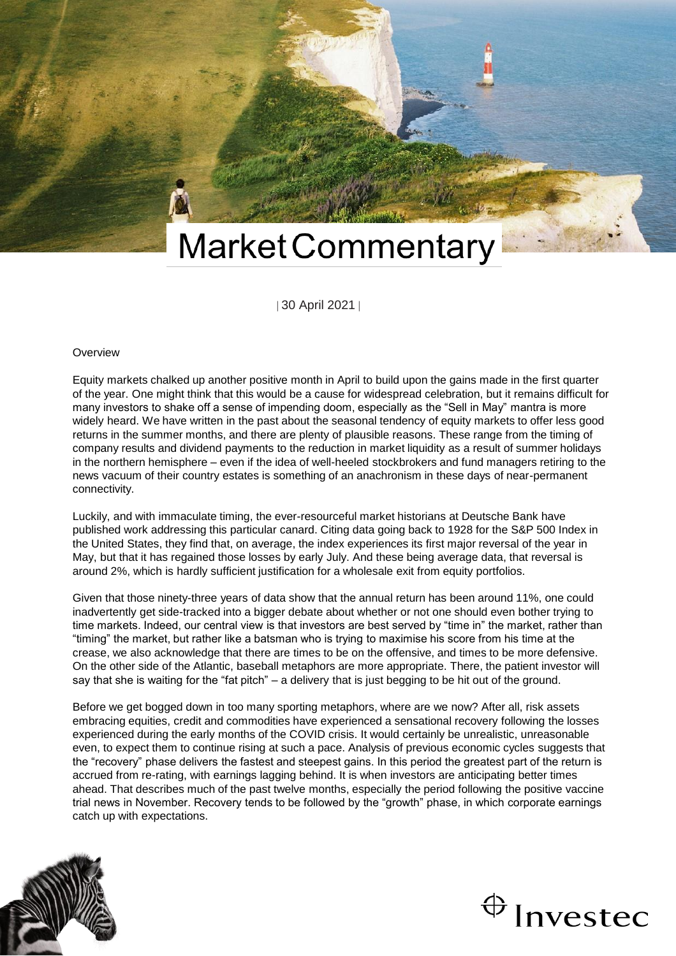

| 30 April 2021 |

#### **Overview**

Equity markets chalked up another positive month in April to build upon the gains made in the first quarter of the year. One might think that this would be a cause for widespread celebration, but it remains difficult for many investors to shake off a sense of impending doom, especially as the "Sell in May" mantra is more widely heard. We have written in the past about the seasonal tendency of equity markets to offer less good returns in the summer months, and there are plenty of plausible reasons. These range from the timing of company results and dividend payments to the reduction in market liquidity as a result of summer holidays in the northern hemisphere – even if the idea of well-heeled stockbrokers and fund managers retiring to the news vacuum of their country estates is something of an anachronism in these days of near-permanent connectivity.

Luckily, and with immaculate timing, the ever-resourceful market historians at Deutsche Bank have published work addressing this particular canard. Citing data going back to 1928 for the S&P 500 Index in the United States, they find that, on average, the index experiences its first major reversal of the year in May, but that it has regained those losses by early July. And these being average data, that reversal is around 2%, which is hardly sufficient justification for a wholesale exit from equity portfolios.

Given that those ninety-three years of data show that the annual return has been around 11%, one could inadvertently get side-tracked into a bigger debate about whether or not one should even bother trying to time markets. Indeed, our central view is that investors are best served by "time in" the market, rather than "timing" the market, but rather like a batsman who is trying to maximise his score from his time at the crease, we also acknowledge that there are times to be on the offensive, and times to be more defensive. On the other side of the Atlantic, baseball metaphors are more appropriate. There, the patient investor will say that she is waiting for the "fat pitch" – a delivery that is just begging to be hit out of the ground.

Before we get bogged down in too many sporting metaphors, where are we now? After all, risk assets embracing equities, credit and commodities have experienced a sensational recovery following the losses experienced during the early months of the COVID crisis. It would certainly be unrealistic, unreasonable even, to expect them to continue rising at such a pace. Analysis of previous economic cycles suggests that the "recovery" phase delivers the fastest and steepest gains. In this period the greatest part of the return is accrued from re-rating, with earnings lagging behind. It is when investors are anticipating better times ahead. That describes much of the past twelve months, especially the period following the positive vaccine trial news in November. Recovery tends to be followed by the "growth" phase, in which corporate earnings catch up with expectations.



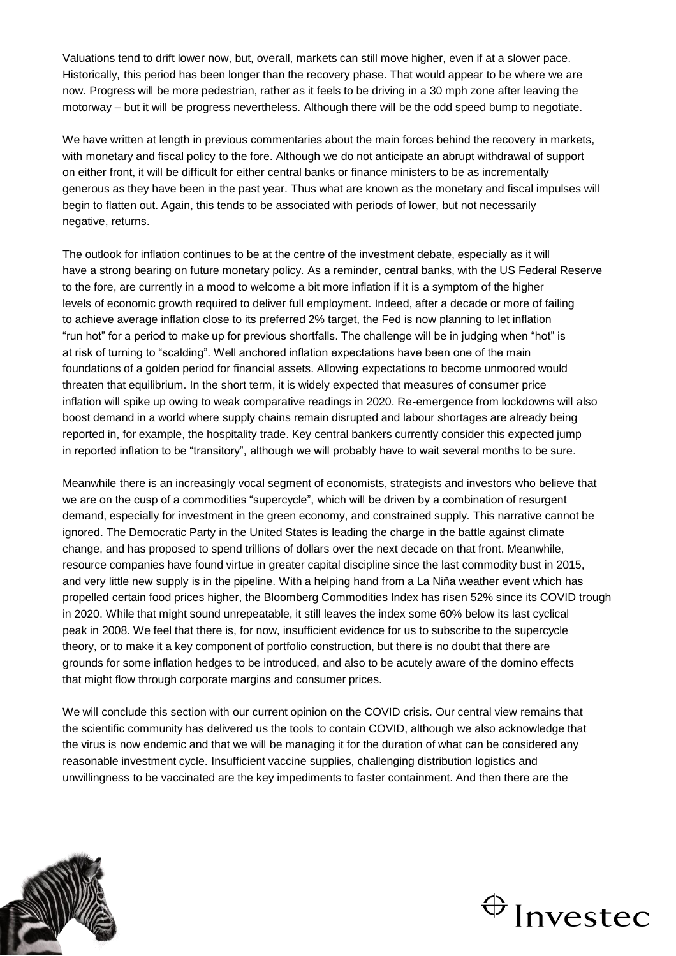Valuations tend to drift lower now, but, overall, markets can still move higher, even if at a slower pace. Historically, this period has been longer than the recovery phase. That would appear to be where we are now. Progress will be more pedestrian, rather as it feels to be driving in a 30 mph zone after leaving the motorway – but it will be progress nevertheless. Although there will be the odd speed bump to negotiate.

We have written at length in previous commentaries about the main forces behind the recovery in markets, with monetary and fiscal policy to the fore. Although we do not anticipate an abrupt withdrawal of support on either front, it will be difficult for either central banks or finance ministers to be as incrementally generous as they have been in the past year. Thus what are known as the monetary and fiscal impulses will begin to flatten out. Again, this tends to be associated with periods of lower, but not necessarily negative, returns.

The outlook for inflation continues to be at the centre of the investment debate, especially as it will have a strong bearing on future monetary policy. As a reminder, central banks, with the US Federal Reserve to the fore, are currently in a mood to welcome a bit more inflation if it is a symptom of the higher levels of economic growth required to deliver full employment. Indeed, after a decade or more of failing to achieve average inflation close to its preferred 2% target, the Fed is now planning to let inflation "run hot" for a period to make up for previous shortfalls. The challenge will be in judging when "hot" is at risk of turning to "scalding". Well anchored inflation expectations have been one of the main foundations of a golden period for financial assets. Allowing expectations to become unmoored would threaten that equilibrium. In the short term, it is widely expected that measures of consumer price inflation will spike up owing to weak comparative readings in 2020. Re-emergence from lockdowns will also boost demand in a world where supply chains remain disrupted and labour shortages are already being reported in, for example, the hospitality trade. Key central bankers currently consider this expected jump in reported inflation to be "transitory", although we will probably have to wait several months to be sure.

Meanwhile there is an increasingly vocal segment of economists, strategists and investors who believe that we are on the cusp of a commodities "supercycle", which will be driven by a combination of resurgent demand, especially for investment in the green economy, and constrained supply. This narrative cannot be ignored. The Democratic Party in the United States is leading the charge in the battle against climate change, and has proposed to spend trillions of dollars over the next decade on that front. Meanwhile, resource companies have found virtue in greater capital discipline since the last commodity bust in 2015, and very little new supply is in the pipeline. With a helping hand from a La Niña weather event which has propelled certain food prices higher, the Bloomberg Commodities Index has risen 52% since its COVID trough in 2020. While that might sound unrepeatable, it still leaves the index some 60% below its last cyclical peak in 2008. We feel that there is, for now, insufficient evidence for us to subscribe to the supercycle theory, or to make it a key component of portfolio construction, but there is no doubt that there are grounds for some inflation hedges to be introduced, and also to be acutely aware of the domino effects that might flow through corporate margins and consumer prices.

We will conclude this section with our current opinion on the COVID crisis. Our central view remains that the scientific community has delivered us the tools to contain COVID, although we also acknowledge that the virus is now endemic and that we will be managing it for the duration of what can be considered any reasonable investment cycle. Insufficient vaccine supplies, challenging distribution logistics and unwillingness to be vaccinated are the key impediments to faster containment. And then there are the



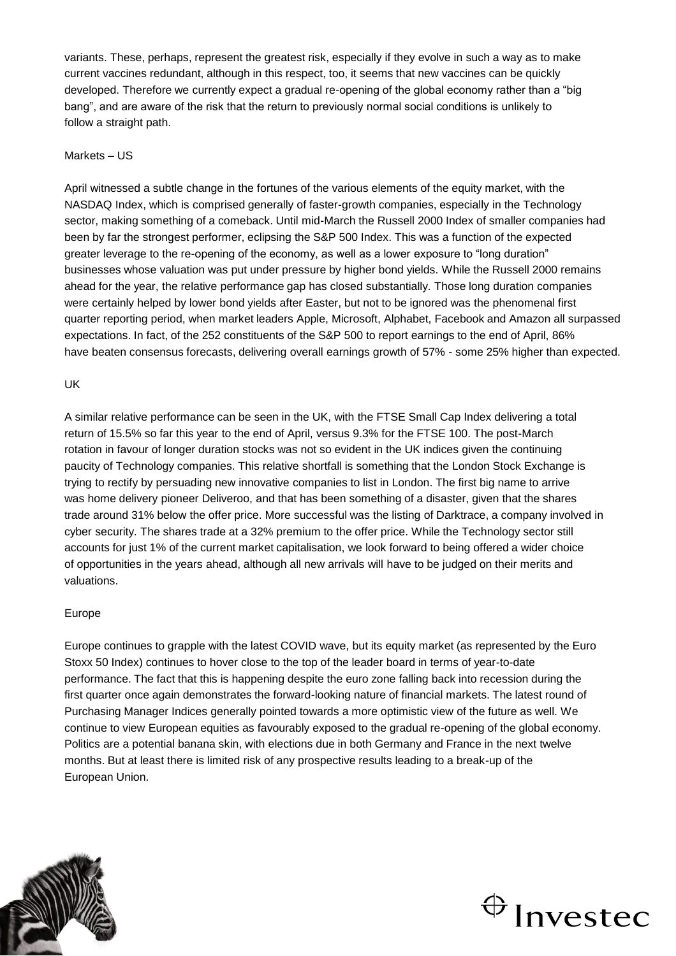variants. These, perhaps, represent the greatest risk, especially if they evolve in such a way as to make current vaccines redundant, although in this respect, too, it seems that new vaccines can be quickly developed. Therefore we currently expect a gradual re-opening of the global economy rather than a "big bang", and are aware of the risk that the return to previously normal social conditions is unlikely to follow a straight path.

## Markets – US

April witnessed a subtle change in the fortunes of the various elements of the equity market, with the NASDAQ Index, which is comprised generally of faster-growth companies, especially in the Technology sector, making something of a comeback. Until mid-March the Russell 2000 Index of smaller companies had been by far the strongest performer, eclipsing the S&P 500 Index. This was a function of the expected greater leverage to the re-opening of the economy, as well as a lower exposure to "long duration" businesses whose valuation was put under pressure by higher bond yields. While the Russell 2000 remains ahead for the year, the relative performance gap has closed substantially. Those long duration companies were certainly helped by lower bond yields after Easter, but not to be ignored was the phenomenal first quarter reporting period, when market leaders Apple, Microsoft, Alphabet, Facebook and Amazon all surpassed expectations. In fact, of the 252 constituents of the S&P 500 to report earnings to the end of April, 86% have beaten consensus forecasts, delivering overall earnings growth of 57% - some 25% higher than expected.

### UK

A similar relative performance can be seen in the UK, with the FTSE Small Cap Index delivering a total return of 15.5% so far this year to the end of April, versus 9.3% for the FTSE 100. The post-March rotation in favour of longer duration stocks was not so evident in the UK indices given the continuing paucity of Technology companies. This relative shortfall is something that the London Stock Exchange is trying to rectify by persuading new innovative companies to list in London. The first big name to arrive was home delivery pioneer Deliveroo, and that has been something of a disaster, given that the shares trade around 31% below the offer price. More successful was the listing of Darktrace, a company involved in cyber security. The shares trade at a 32% premium to the offer price. While the Technology sector still accounts for just 1% of the current market capitalisation, we look forward to being offered a wider choice of opportunities in the years ahead, although all new arrivals will have to be judged on their merits and valuations.

### Europe

Europe continues to grapple with the latest COVID wave, but its equity market (as represented by the Euro Stoxx 50 Index) continues to hover close to the top of the leader board in terms of year-to-date performance. The fact that this is happening despite the euro zone falling back into recession during the first quarter once again demonstrates the forward-looking nature of financial markets. The latest round of Purchasing Manager Indices generally pointed towards a more optimistic view of the future as well. We continue to view European equities as favourably exposed to the gradual re-opening of the global economy. Politics are a potential banana skin, with elections due in both Germany and France in the next twelve months. But at least there is limited risk of any prospective results leading to a break-up of the European Union.



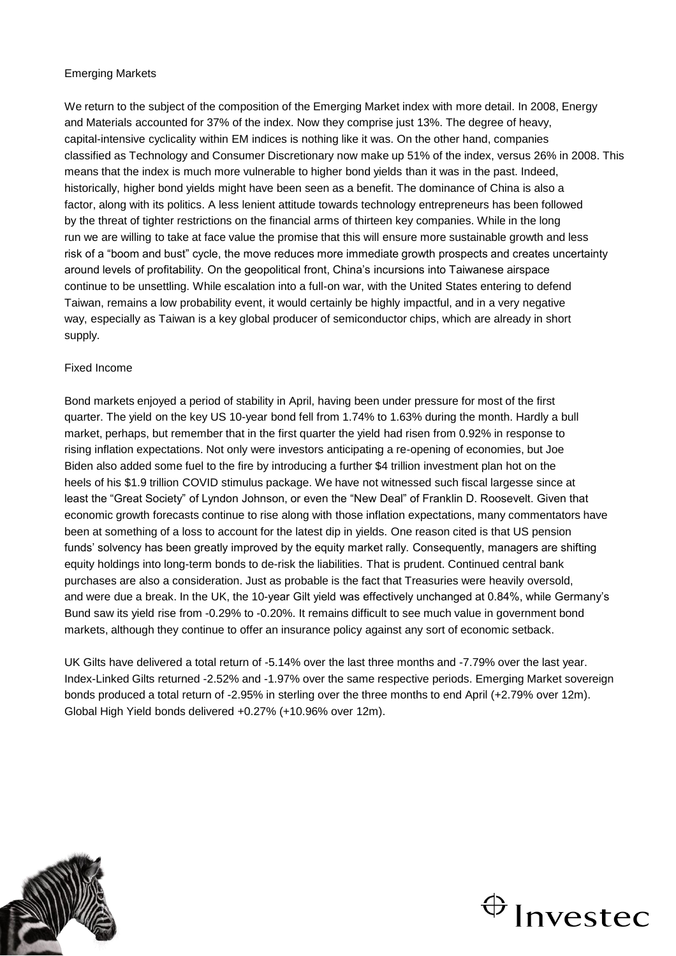# Emerging Markets

We return to the subject of the composition of the Emerging Market index with more detail. In 2008, Energy and Materials accounted for 37% of the index. Now they comprise just 13%. The degree of heavy, capital-intensive cyclicality within EM indices is nothing like it was. On the other hand, companies classified as Technology and Consumer Discretionary now make up 51% of the index, versus 26% in 2008. This means that the index is much more vulnerable to higher bond yields than it was in the past. Indeed, historically, higher bond yields might have been seen as a benefit. The dominance of China is also a factor, along with its politics. A less lenient attitude towards technology entrepreneurs has been followed by the threat of tighter restrictions on the financial arms of thirteen key companies. While in the long run we are willing to take at face value the promise that this will ensure more sustainable growth and less risk of a "boom and bust" cycle, the move reduces more immediate growth prospects and creates uncertainty around levels of profitability. On the geopolitical front, China's incursions into Taiwanese airspace continue to be unsettling. While escalation into a full-on war, with the United States entering to defend Taiwan, remains a low probability event, it would certainly be highly impactful, and in a very negative way, especially as Taiwan is a key global producer of semiconductor chips, which are already in short supply.

# Fixed Income

Bond markets enjoyed a period of stability in April, having been under pressure for most of the first quarter. The yield on the key US 10-year bond fell from 1.74% to 1.63% during the month. Hardly a bull market, perhaps, but remember that in the first quarter the yield had risen from 0.92% in response to rising inflation expectations. Not only were investors anticipating a re-opening of economies, but Joe Biden also added some fuel to the fire by introducing a further \$4 trillion investment plan hot on the heels of his \$1.9 trillion COVID stimulus package. We have not witnessed such fiscal largesse since at least the "Great Society" of Lyndon Johnson, or even the "New Deal" of Franklin D. Roosevelt. Given that economic growth forecasts continue to rise along with those inflation expectations, many commentators have been at something of a loss to account for the latest dip in yields. One reason cited is that US pension funds' solvency has been greatly improved by the equity market rally. Consequently, managers are shifting equity holdings into long-term bonds to de-risk the liabilities. That is prudent. Continued central bank purchases are also a consideration. Just as probable is the fact that Treasuries were heavily oversold, and were due a break. In the UK, the 10-year Gilt yield was effectively unchanged at 0.84%, while Germany's Bund saw its yield rise from -0.29% to -0.20%. It remains difficult to see much value in government bond markets, although they continue to offer an insurance policy against any sort of economic setback.

UK Gilts have delivered a total return of -5.14% over the last three months and -7.79% over the last year. Index-Linked Gilts returned -2.52% and -1.97% over the same respective periods. Emerging Market sovereign bonds produced a total return of -2.95% in sterling over the three months to end April (+2.79% over 12m). Global High Yield bonds delivered +0.27% (+10.96% over 12m).